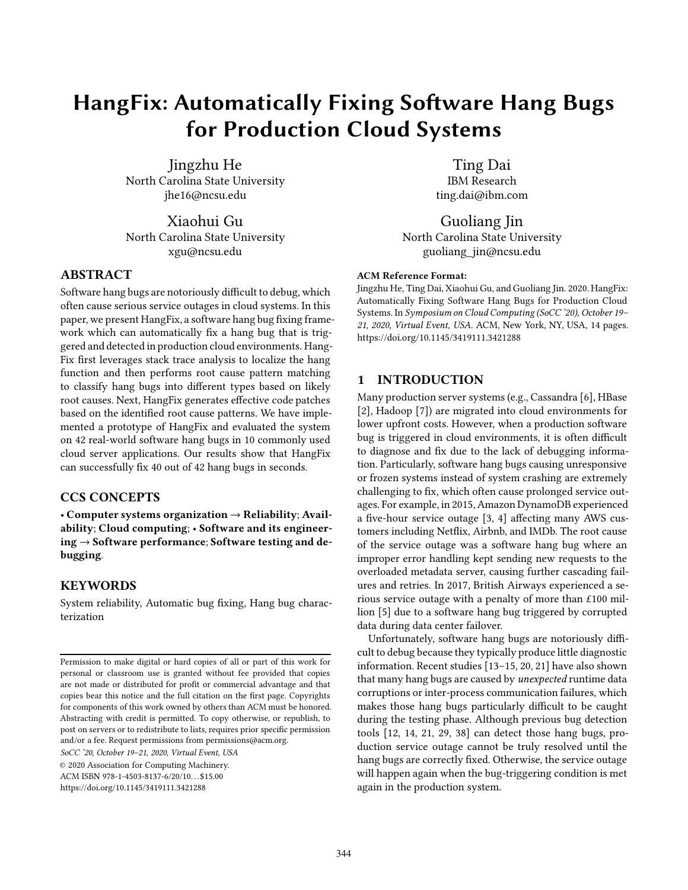# HangFix: Automatically Fixing Software Hang Bugs for Production Cloud Systems

Jingzhu He North Carolina State University jhe16@ncsu.edu

Xiaohui Gu North Carolina State University xgu@ncsu.edu

# ABSTRACT

Software hang bugs are notoriously difficult to debug, which often cause serious service outages in cloud systems. In this paper, we present HangFix, a software hang bug fixing framework which can automatically fix a hang bug that is triggered and detected in production cloud environments. Hang-Fix first leverages stack trace analysis to localize the hang function and then performs root cause pattern matching to classify hang bugs into different types based on likely root causes. Next, HangFix generates effective code patches based on the identified root cause patterns. We have implemented a prototype of HangFix and evaluated the system on 42 real-world software hang bugs in 10 commonly used cloud server applications. Our results show that HangFix can successfully fix 40 out of 42 hang bugs in seconds.

# CCS CONCEPTS

• Computer systems organization  $\rightarrow$  Reliability; Availability; Cloud computing; • Software and its engineering  $\rightarrow$  Software performance; Software testing and debugging.

# **KEYWORDS**

System reliability, Automatic bug fixing, Hang bug characterization

SoCC '20, October 19–21, 2020, Virtual Event, USA

© 2020 Association for Computing Machinery.

ACM ISBN 978-1-4503-8137-6/20/10. . . \$15.00

<https://doi.org/10.1145/3419111.3421288>

Ting Dai IBM Research ting.dai@ibm.com

Guoliang Jin North Carolina State University guoliang\_jin@ncsu.edu

#### ACM Reference Format:

Jingzhu He, Ting Dai, Xiaohui Gu, and Guoliang Jin. 2020. HangFix: Automatically Fixing Software Hang Bugs for Production Cloud Systems. In Symposium on Cloud Computing (SoCC '20), October 19– 21, 2020, Virtual Event, USA. ACM, New York, NY, USA, [14](#page-13-0) pages. <https://doi.org/10.1145/3419111.3421288>

# 1 INTRODUCTION

Many production server systems (e.g., Cassandra [\[6\]](#page-13-1), HBase [\[2](#page-12-0)], Hadoop [\[7](#page-13-2)]) are migrated into cloud environments for lower upfront costs. However, when a production software bug is triggered in cloud environments, it is often difficult to diagnose and fix due to the lack of debugging information. Particularly, software hang bugs causing unresponsive or frozen systems instead of system crashing are extremely challenging to fix, which often cause prolonged service outages. For example, in 2015, Amazon DynamoDB experienced a five-hour service outage [\[3,](#page-12-1) [4\]](#page-12-2) affecting many AWS customers including Netflix, Airbnb, and IMDb. The root cause of the service outage was a software hang bug where an improper error handling kept sending new requests to the overloaded metadata server, causing further cascading failures and retries. In 2017, British Airways experienced a serious service outage with a penalty of more than £100 million [\[5\]](#page-13-3) due to a software hang bug triggered by corrupted data during data center failover.

Unfortunately, software hang bugs are notoriously difficult to debug because they typically produce little diagnostic information. Recent studies [\[13](#page-13-4)[–15,](#page-13-5) [20](#page-13-6), [21\]](#page-13-7) have also shown that many hang bugs are caused by *unexpected* runtime data corruptions or inter-process communication failures, which makes those hang bugs particularly difficult to be caught during the testing phase. Although previous bug detection tools [\[12](#page-13-8), [14](#page-13-9), [21,](#page-13-7) [29,](#page-13-10) [38\]](#page-13-11) can detect those hang bugs, production service outage cannot be truly resolved until the hang bugs are correctly fixed. Otherwise, the service outage will happen again when the bug-triggering condition is met again in the production system.

Permission to make digital or hard copies of all or part of this work for personal or classroom use is granted without fee provided that copies are not made or distributed for profit or commercial advantage and that copies bear this notice and the full citation on the first page. Copyrights for components of this work owned by others than ACM must be honored. Abstracting with credit is permitted. To copy otherwise, or republish, to post on servers or to redistribute to lists, requires prior specific permission and/or a fee. Request permissions from permissions@acm.org.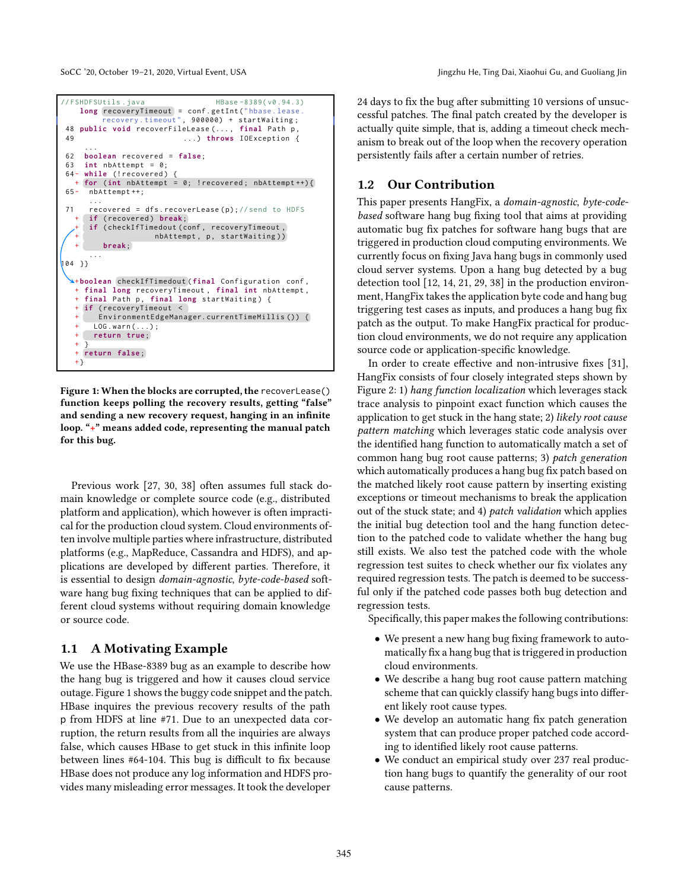<span id="page-1-0"></span>SoCC '20, October 19-21, 2020, Virtual Event, USA Jingzhu He, Ting Dai, Xiaohui Gu, and Guoliang Jin

```
// FSHDFSUtils.iava HBase -8389(v0.94.3)
   long recoveryTimeout = conf.getInt("hbase.lease
        recovery . timeout ", 900000) + startWaiting ;
48 public void recoverFileLease (..., final Path p
49 ...) throws IOException {
     ...
62 boolean recovered = false;
63 int nbAttempt = 0;
64 - while (! recovered)
  + for (int nbAttempt = 0; ! recovered ; nbAttempt ++) {
65 - nbAttempt ++;
      ...
71 recovered = dfs.recoverLease(p); //send to HDFS
     if (recovered) break;
     if ( checkIfTimedout ( conf , recoveryTimeout ,
                   nbAttempt, p, startWaiting))
        + break;
      ...
104 }}
   boolean checkIfTimedout (final Configuration conf,
   + final long recoveryTimeout , final int nbAttempt ,
    final Path p, final long startWaiting) {
    if (recoveryTimeout <
       EnvironmentEdgeManager.currentTimeMillis ()) {
      LOG. warn(...);+ return true;
   + }
    + return false ;
  +}
```
Figure 1: When the blocks are corrupted, the recoverLease() function keeps polling the recovery results, getting "false" and sending a new recovery request, hanging in an infinite loop. "+" means added code, representing the manual patch for this bug.

Previous work [\[27,](#page-13-12) [30,](#page-13-13) [38\]](#page-13-11) often assumes full stack domain knowledge or complete source code (e.g., distributed platform and application), which however is often impractical for the production cloud system. Cloud environments often involve multiple parties where infrastructure, distributed platforms (e.g., MapReduce, Cassandra and HDFS), and applications are developed by different parties. Therefore, it is essential to design domain-agnostic, byte-code-based software hang bug fixing techniques that can be applied to different cloud systems without requiring domain knowledge or source code.

# 1.1 A Motivating Example

We use the HBase-8389 bug as an example to describe how the hang bug is triggered and how it causes cloud service outage. Figure [1](#page-1-0) shows the buggy code snippet and the patch. HBase inquires the previous recovery results of the path p from HDFS at line #71. Due to an unexpected data corruption, the return results from all the inquiries are always false, which causes HBase to get stuck in this infinite loop between lines #64-104. This bug is difficult to fix because HBase does not produce any log information and HDFS provides many misleading error messages. It took the developer

24 days to fix the bug after submitting 10 versions of unsuccessful patches. The final patch created by the developer is actually quite simple, that is, adding a timeout check mechanism to break out of the loop when the recovery operation persistently fails after a certain number of retries.

# 1.2 Our Contribution

This paper presents HangFix, a domain-agnostic, byte-codebased software hang bug fixing tool that aims at providing automatic bug fix patches for software hang bugs that are triggered in production cloud computing environments. We currently focus on fixing Java hang bugs in commonly used cloud server systems. Upon a hang bug detected by a bug detection tool [\[12,](#page-13-8) [14,](#page-13-9) [21](#page-13-7), [29,](#page-13-10) [38\]](#page-13-11) in the production environment, HangFix takes the application byte code and hang bug triggering test cases as inputs, and produces a hang bug fix patch as the output. To make HangFix practical for production cloud environments, we do not require any application source code or application-specific knowledge.

In order to create effective and non-intrusive fixes [\[31\]](#page-13-14), HangFix consists of four closely integrated steps shown by Figure [2:](#page-2-0) 1) hang function localization which leverages stack trace analysis to pinpoint exact function which causes the application to get stuck in the hang state; 2) likely root cause pattern matching which leverages static code analysis over the identified hang function to automatically match a set of common hang bug root cause patterns; 3) patch generation which automatically produces a hang bug fix patch based on the matched likely root cause pattern by inserting existing exceptions or timeout mechanisms to break the application out of the stuck state; and 4) patch validation which applies the initial bug detection tool and the hang function detection to the patched code to validate whether the hang bug still exists. We also test the patched code with the whole regression test suites to check whether our fix violates any required regression tests. The patch is deemed to be successful only if the patched code passes both bug detection and regression tests.

Specifically, this paper makes the following contributions:

- We present a new hang bug fixing framework to automatically fix a hang bug that is triggered in production cloud environments.
- We describe a hang bug root cause pattern matching scheme that can quickly classify hang bugs into different likely root cause types.
- We develop an automatic hang fix patch generation system that can produce proper patched code according to identified likely root cause patterns.
- We conduct an empirical study over 237 real production hang bugs to quantify the generality of our root cause patterns.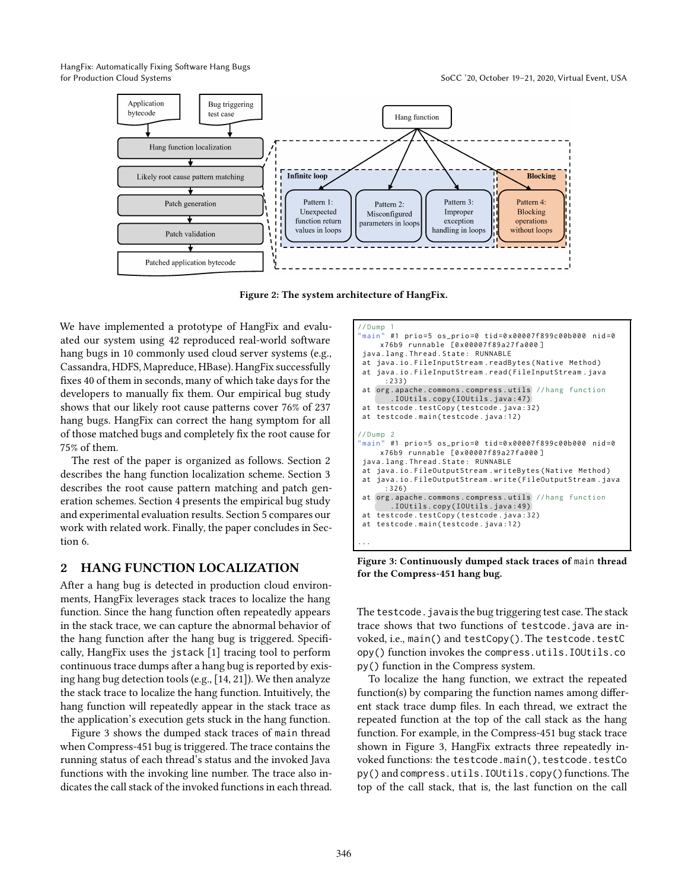HangFix: Automatically Fixing Software Hang Bugs

<span id="page-2-0"></span>



Figure 2: The system architecture of HangFix.

We have implemented a prototype of HangFix and evaluated our system using 42 reproduced real-world software hang bugs in 10 commonly used cloud server systems (e.g., Cassandra, HDFS, Mapreduce, HBase). HangFix successfully fixes 40 of them in seconds, many of which take days for the developers to manually fix them. Our empirical bug study shows that our likely root cause patterns cover 76% of 237 hang bugs. HangFix can correct the hang symptom for all of those matched bugs and completely fix the root cause for 75% of them.

The rest of the paper is organized as follows. Section [2](#page-2-1) describes the hang function localization scheme. Section [3](#page-3-0) describes the root cause pattern matching and patch generation schemes. Section [4](#page-7-0) presents the empirical bug study and experimental evaluation results. Section [5](#page-11-0) compares our work with related work. Finally, the paper concludes in Section [6.](#page-12-3)

## <span id="page-2-1"></span>2 HANG FUNCTION LOCALIZATION

After a hang bug is detected in production cloud environments, HangFix leverages stack traces to localize the hang function. Since the hang function often repeatedly appears in the stack trace, we can capture the abnormal behavior of the hang function after the hang bug is triggered. Specifically, HangFix uses the jstack [\[1\]](#page-12-4) tracing tool to perform continuous trace dumps after a hang bug is reported by exising hang bug detection tools (e.g., [\[14,](#page-13-9) [21\]](#page-13-7)). We then analyze the stack trace to localize the hang function. Intuitively, the hang function will repeatedly appear in the stack trace as the application's execution gets stuck in the hang function.

Figure [3](#page-2-2) shows the dumped stack traces of main thread when Compress-451 bug is triggered. The trace contains the running status of each thread's status and the invoked Java functions with the invoking line number. The trace also indicates the call stack of the invoked functions in each thread.

```
'/Dump<br>'main"
"main" #1 prio=5 os_prio=0 tid=0x00007f899c00b000 nid=0
     x76b9 runnable [0 x00007f89a27 fa 00 0 ]
java . lang . Thread . State : RUNNABLE
at java.io. FileInputStream.readBytes (Native Method)
at java.io. FileInputStream.read (FileInputStream.iava
      :233)
at org . apache . commons . compress . utils // hang function
        .IOUtils.copy(IOUtils.java:47)
at testcode . testCopy ( testcode . java :32)
at testcode . main ( testcode . java :12)
//Dump 2<br>"main" #1 prio=5 os_prio=0 tid=0x00007f899c00b000 nid=0
     x76b9 runnable [0 x00007f89a27 fa 00 0 ]
java . lang . Thread . State : RUNNABLE
at java.io.FileOutputStream.writeBytes(Native Method)
at java.io. FileOutputStream.write (FileOutputStream.java
      :326)
at org . apache . commons . compress . utils // hang function
        .. . IOUtils . copy ( IOUtils . java :49)
at testcode . testCopy ( testcode . java :32)
at testcode . main ( testcode . java :12)
...
```
Figure 3: Continuously dumped stack traces of main thread for the Compress-451 hang bug.

The testcode. java is the bug triggering test case. The stack trace shows that two functions of testcode.java are invoked, i.e., main() and testCopy(). The testcode. testC opy() function invokes the compress.utils.IOUtils.co py() function in the Compress system.

To localize the hang function, we extract the repeated function(s) by comparing the function names among different stack trace dump files. In each thread, we extract the repeated function at the top of the call stack as the hang function. For example, in the Compress-451 bug stack trace shown in Figure [3,](#page-2-2) HangFix extracts three repeatedly invoked functions: the testcode.main(), testcode.testCo py() and compress.utils.IOUtils.copy()functions. The top of the call stack, that is, the last function on the call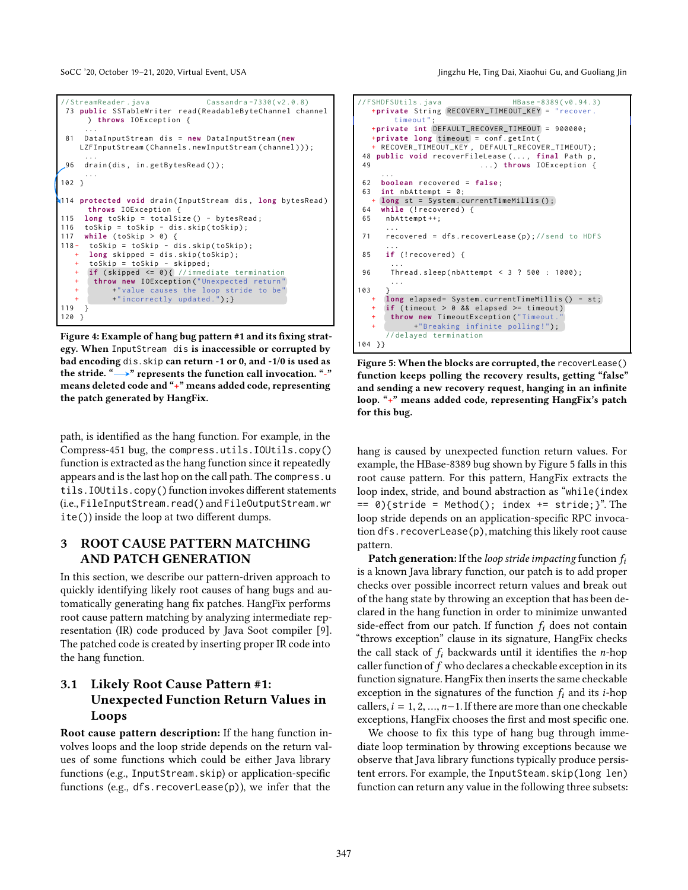<span id="page-3-2"></span>SoCC '20, October 19-21, 2020, Virtual Event, USA Jingzhu He, Ting Dai, Xiaohui Gu, and Guoliang Jingzhu He, Ting Dai, Xiaohui Gu, and Guoliang Jin

```
// StreamReader . java Cassandra -7330( v2 .0.8)
 73 public SSTableWriter read (ReadableByteChannel channel
      ) throws IOException {
      ...
 81 DataInputStream dis = new DataInputStream (new
    LZFInputStream ( Channels . newInputStream ( channel ) )) ;
      ...
 96 drain ( dis , in . getBytesRead () ) ;
      ...
102 }
114 protected void drain ( InputStream dis , long bytesRead )
       throws IOException {
115 long toSkip = totalSize () - bytesRead ;
116 to \overline{skip} = \overline{t} \overline{o} \overline{skip} - dis. \overline{s} \overline{tip} \overline{(to} \overline{ship});
117 while ( toSkip > 0) {
       toSkip = toSkip - dis.skip(toSkip);
       long skipped = dis.skip(toSkip);
       + toSkip = toSkip - skipped ;
       if (skipped \le 0) { // immediate termination}throw new IOException ("Unexpected return"
             +" value causes the loop stride to be'
             +"incorrectly updated."); }
119 }
120 }
```
Figure 4: Example of hang bug pattern #1 and its fixing strategy. When InputStream dis is inaccessible or corrupted by bad encoding dis.skip can return -1 or 0, and -1/0 is used as the stride. " $\rightarrow$ " represents the function call invocation. "-" means deleted code and "+" means added code, representing the patch generated by HangFix.

path, is identified as the hang function. For example, in the Compress-451 bug, the compress.utils.IOUtils.copy() function is extracted as the hang function since it repeatedly appears and is the last hop on the call path. The compress.u tils.IOUtils.copy()function invokes different statements (i.e., FileInputStream.read()and FileOutputStream.wr ite()) inside the loop at two different dumps.

# <span id="page-3-0"></span>3 ROOT CAUSE PATTERN MATCHING AND PATCH GENERATION

In this section, we describe our pattern-driven approach to quickly identifying likely root causes of hang bugs and automatically generating hang fix patches. HangFix performs root cause pattern matching by analyzing intermediate representation (IR) code produced by Java Soot compiler [\[9\]](#page-13-15). The patched code is created by inserting proper IR code into the hang function.

# 3.1 Likely Root Cause Pattern #1: Unexpected Function Return Values in Loops

Root cause pattern description: If the hang function involves loops and the loop stride depends on the return values of some functions which could be either Java library functions (e.g., InputStream.skip) or application-specific functions (e.g., dfs.recoverLease(p)), we infer that the

```
\frac{1}{5} // FSHDFSUtils . java<br>
HBase -8389(\nu0.94.3)
   + private String RECOVERY_TIMEOUT_KEY = "recover.
         timeout ";
   + private int DEFAULT_RECOVER_TIMEOUT = 900000;
   +private long timeout = conf.getInt(<br>+ RECOVER_TIMEOUT_KEY, DEFAULT_RECOVER_TIMEOUT);
 48 public void recoverFileLease (..., final Path p,<br>49 p \ldots) throws IOException {
                               49 ...) throws IOException {
      ...
 62 boolean recovered = false ;
 63 int nbAttempt = 0;
 + long st = System.currentTimeMillis();<br>64 while (<u>trecovered</u>) {
     while (! recovered) {
 65 nbAttempt ++;
       ...
 71 recovered = dfs. recoverLease (p); //send to HDFS
       ...
 85 if (! recovered) {
        ...
 96 Thread . sleep ( nbAttempt < 3 ? 500 : 1000) ;
        ...
103 }
      long elapsed= System. currentTimeMillis () - st;
      if (timeout > 0 && elapsed >= timeout)
        throw new TimeoutException ("Timeout
              +"Breaking infinite polling!");
       // delayed termination
104 }}
```
Figure 5: When the blocks are corrupted, the recoverLease() function keeps polling the recovery results, getting "false" and sending a new recovery request, hanging in an infinite loop. "+" means added code, representing HangFix's patch for this bug.

hang is caused by unexpected function return values. For example, the HBase-8389 bug shown by Figure [5](#page-3-1) falls in this root cause pattern. For this pattern, HangFix extracts the loop index, stride, and bound abstraction as "while(index  $== 0){$ {stride = Method(); index  $+=$  stride;}". The loop stride depends on an application-specific RPC invocation dfs.recoverLease(p),matching this likely root cause pattern.

**Patch generation:** If the *loop stride impacting* function  $f_i$ is a known Java library function, our patch is to add proper checks over possible incorrect return values and break out of the hang state by throwing an exception that has been declared in the hang function in order to minimize unwanted side-effect from our patch. If function  $f_i$  does not contain "throws exception" clause in its signature, HangFix checks the call stack of  $f_i$  backwards until it identifies the *n*-hop caller function of  $f$  who declares a checkable exception in its function signature. HangFix then inserts the same checkable exception in the signatures of the function  $f_i$  and its *i*-hop callers,  $i = 1, 2, ..., n-1$ . If there are more than one checkable exceptions, HangFix chooses the first and most specific one.

We choose to fix this type of hang bug through immediate loop termination by throwing exceptions because we observe that Java library functions typically produce persistent errors. For example, the InputSteam.skip(long len) function can return any value in the following three subsets: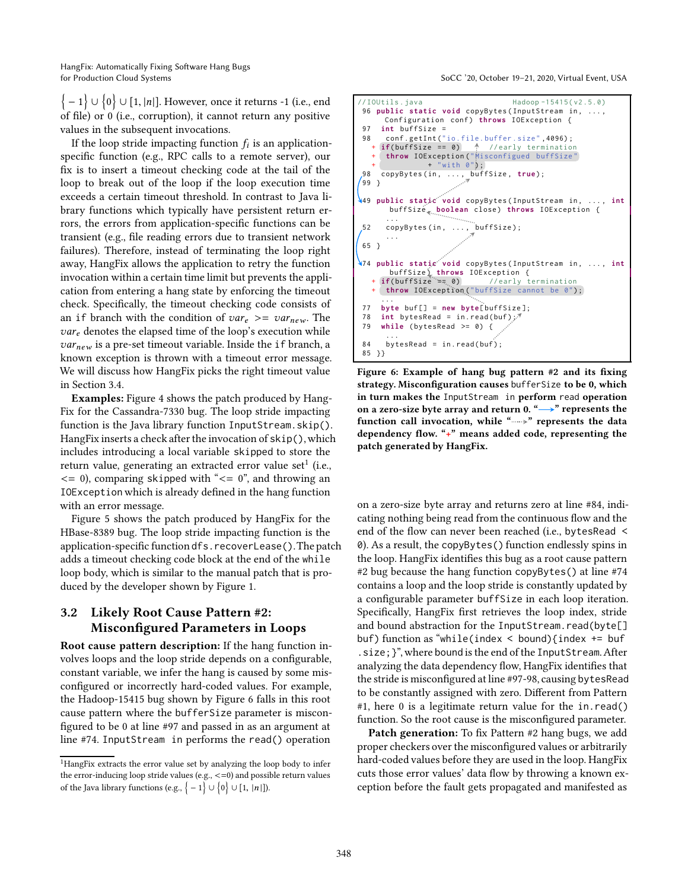HangFix: Automatically Fixing Software Hang Bugs for Production Cloud Systems SoCC '20, October 19–21, 2020, Virtual Event, USA

 $\big\{-1\big\} \cup \big\{0\big\} \cup [1, |n|].$  However, once it returns -1 (i.e., end of file) or 0 (i.e., corruption), it cannot return any positive values in the subsequent invocations.

If the loop stride impacting function  $f_i$  is an applicationspecific function (e.g., RPC calls to a remote server), our fix is to insert a timeout checking code at the tail of the loop to break out of the loop if the loop execution time exceeds a certain timeout threshold. In contrast to Java library functions which typically have persistent return errors, the errors from application-specific functions can be transient (e.g., file reading errors due to transient network failures). Therefore, instead of terminating the loop right away, HangFix allows the application to retry the function invocation within a certain time limit but prevents the application from entering a hang state by enforcing the timeout check. Specifically, the timeout checking code consists of an if branch with the condition of  $var_e \ge -var_{new}$ . The  $var_e$  denotes the elapsed time of the loop's execution while  $var_{new}$  is a pre-set timeout variable. Inside the if branch, a known exception is thrown with a timeout error message. We will discuss how HangFix picks the right timeout value in Section [3.4.](#page-6-0)

Examples: Figure [4](#page-3-2) shows the patch produced by Hang-Fix for the Cassandra-7330 bug. The loop stride impacting function is the Java library function InputStream.skip(). HangFix inserts a check after the invocation of skip(), which includes introducing a local variable skipped to store the return value, generating an extracted error value set $^1$  $^1$  (i.e.,  $\leq$  = 0), comparing skipped with " $\leq$  = 0", and throwing an IOException which is already defined in the hang function with an error message.

Figure [5](#page-3-1) shows the patch produced by HangFix for the HBase-8389 bug. The loop stride impacting function is the application-specific function dfs.recoverLease().The patch adds a timeout checking code block at the end of the while loop body, which is similar to the manual patch that is produced by the developer shown by Figure [1.](#page-1-0)

# 3.2 Likely Root Cause Pattern #2: Misconfigured Parameters in Loops

Root cause pattern description: If the hang function involves loops and the loop stride depends on a configurable, constant variable, we infer the hang is caused by some misconfigured or incorrectly hard-coded values. For example, the Hadoop-15415 bug shown by Figure [6](#page-4-1) falls in this root cause pattern where the bufferSize parameter is misconfigured to be 0 at line #97 and passed in as an argument at line #74. InputStream in performs the read() operation

<span id="page-4-1"></span>

Figure 6: Example of hang bug pattern #2 and its fixing strategy. Misconfiguration causes bufferSize to be 0, which in turn makes the InputStream in perform read operation on a zero-size byte array and return 0. " $\rightarrow$ " represents the function call invocation, while " " represents the data dependency flow. "+" means added code, representing the patch generated by HangFix.

on a zero-size byte array and returns zero at line #84, indicating nothing being read from the continuous flow and the end of the flow can never been reached (i.e., bytesRead < 0). As a result, the copyBytes() function endlessly spins in the loop. HangFix identifies this bug as a root cause pattern #2 bug because the hang function copyBytes() at line #74 contains a loop and the loop stride is constantly updated by a configurable parameter buffSize in each loop iteration. Specifically, HangFix first retrieves the loop index, stride and bound abstraction for the InputStream.read(byte[] buf) function as "while(index < bound){index += buf .size;}", where bound is the end of the InputStream.After analyzing the data dependency flow, HangFix identifies that the stride is misconfigured at line #97-98, causing bytesRead to be constantly assigned with zero. Different from Pattern #1, here 0 is a legitimate return value for the in.read() function. So the root cause is the misconfigured parameter.

Patch generation: To fix Pattern #2 hang bugs, we add proper checkers over the misconfigured values or arbitrarily hard-coded values before they are used in the loop. HangFix cuts those error values' data flow by throwing a known exception before the fault gets propagated and manifested as

<span id="page-4-0"></span><sup>1</sup>HangFix extracts the error value set by analyzing the loop body to infer the error-inducing loop stride values (e.g., <=0) and possible return values of the Java library functions (e.g.,  $\{-1\} \cup \{0\} \cup [1, |n|].$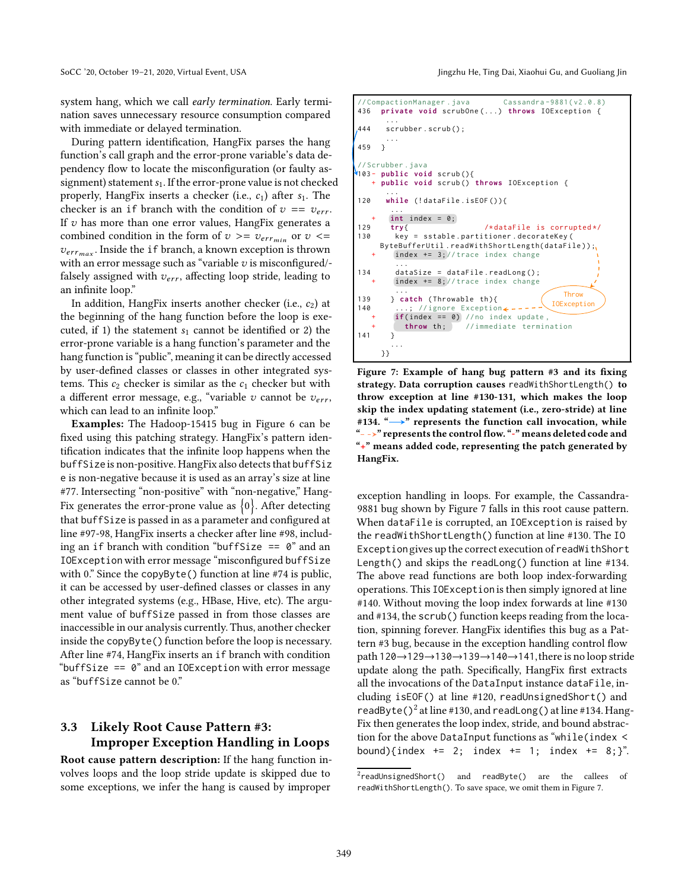system hang, which we call early termination. Early termination saves unnecessary resource consumption compared with immediate or delayed termination.

During pattern identification, HangFix parses the hang function's call graph and the error-prone variable's data dependency flow to locate the misconfiguration (or faulty assignment) statement  $s<sub>1</sub>$ . If the error-prone value is not checked properly, HangFix inserts a checker (i.e.,  $c_1$ ) after  $s_1$ . The checker is an if branch with the condition of  $v = v_{err}$ . If  $v$  has more than one error values, HangFix generates a combined condition in the form of  $v > = v_{err_{min}}$  or  $v < =$  $v_{err_{max}}$ . Inside the if branch, a known exception is thrown with an error message such as "variable  $v$  is misconfigured/falsely assigned with  $v_{err}$ , affecting loop stride, leading to an infinite loop."

In addition, HangFix inserts another checker (i.e.,  $c_2$ ) at the beginning of the hang function before the loop is executed, if 1) the statement  $s_1$  cannot be identified or 2) the error-prone variable is a hang function's parameter and the hang function is "public", meaning it can be directly accessed by user-defined classes or classes in other integrated systems. This  $c_2$  checker is similar as the  $c_1$  checker but with a different error message, e.g., "variable  $v$  cannot be  $v_{err}$ , which can lead to an infinite loop."

Examples: The Hadoop-15415 bug in Figure [6](#page-4-1) can be fixed using this patching strategy. HangFix's pattern identification indicates that the infinite loop happens when the buffSize is non-positive. HangFix also detects that buffSiz e is non-negative because it is used as an array's size at line #77. Intersecting "non-positive" with "non-negative," Hang-Fix generates the error-prone value as  $\{0\}.$  After detecting that buffSize is passed in as a parameter and configured at line #97-98, HangFix inserts a checker after line #98, including an if branch with condition "buffSize  $= 0$ " and an IOException with error message "misconfigured buffSize with 0." Since the copyByte() function at line #74 is public, it can be accessed by user-defined classes or classes in any other integrated systems (e.g., HBase, Hive, etc). The argument value of buffSize passed in from those classes are inaccessible in our analysis currently. Thus, another checker inside the copyByte() function before the loop is necessary. After line #74, HangFix inserts an if branch with condition "buffSize == 0" and an IOException with error message as "buffSize cannot be 0."

# 3.3 Likely Root Cause Pattern #3: Improper Exception Handling in Loops

Root cause pattern description: If the hang function involves loops and the loop stride update is skipped due to some exceptions, we infer the hang is caused by improper

SoCC '20, October 19-21, 2020, Virtual Event, USA Jingzhu He, Ting Dai, Xiaohui Gu, and Guoliang Jin

<span id="page-5-0"></span>

Figure 7: Example of hang bug pattern #3 and its fixing strategy. Data corruption causes readWithShortLength() to throw exception at line #130-131, which makes the loop skip the index updating statement (i.e., zero-stride) at line #134. " $\longrightarrow$ " represents the function call invocation, while " $\rightarrow$ " represents the control flow. "-" means deleted code and "+" means added code, representing the patch generated by HangFix.

exception handling in loops. For example, the Cassandra-9881 bug shown by Figure [7](#page-5-0) falls in this root cause pattern. When dataFile is corrupted, an IOException is raised by the readWithShortLength() function at line #130. The IO Exceptiongives up the correct execution of readWithShort Length() and skips the readLong() function at line #134. The above read functions are both loop index-forwarding operations. This IOException is then simply ignored at line #140. Without moving the loop index forwards at line #130 and #134, the scrub() function keeps reading from the location, spinning forever. HangFix identifies this bug as a Pattern #3 bug, because in the exception handling control flow path 120→129→130→139→140→141, there is no loop stride update along the path. Specifically, HangFix first extracts all the invocations of the DataInput instance dataFile, including isEOF() at line #120, readUnsignedShort() and readByte( $)^2$  $)^2$  at line #130, and readLong() at line #134. Hang-Fix then generates the loop index, stride, and bound abstraction for the above DataInput functions as "while(index < bound){index += 2; index += 1; index += 8;}".

<span id="page-5-1"></span> $2$ readUnsignedShort() and readByte() are the callees of readWithShortLength(). To save space, we omit them in Figure [7.](#page-5-0)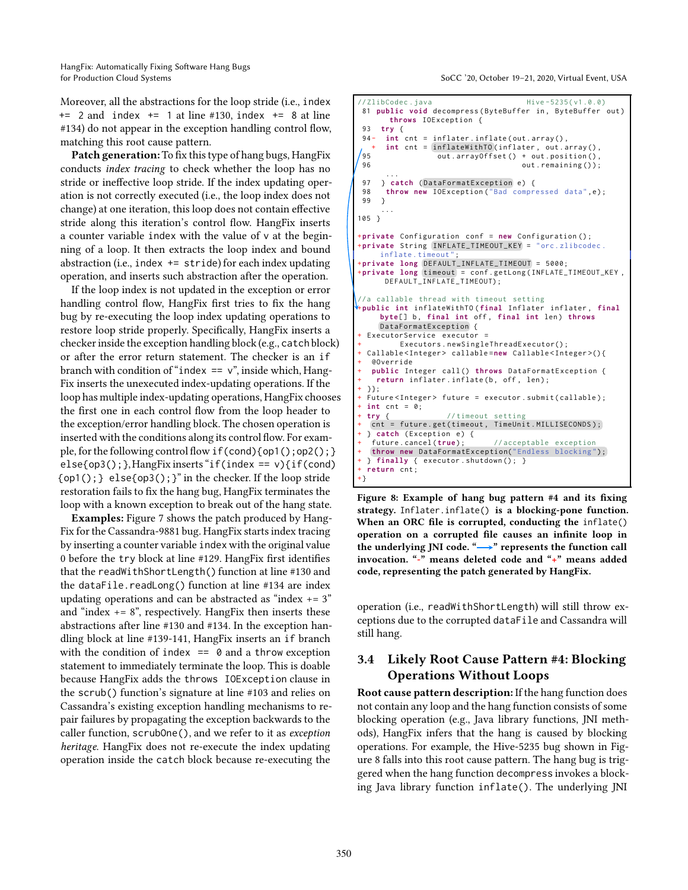HangFix: Automatically Fixing Software Hang Bugs for Production Cloud Systems SoCC '20, October 19–21, 2020, Virtual Event, USA

Moreover, all the abstractions for the loop stride (i.e., index  $+= 2$  and index  $+= 1$  at line #130, index  $+= 8$  at line #134) do not appear in the exception handling control flow, matching this root cause pattern.

Patch generation: To fix this type of hang bugs, HangFix conducts index tracing to check whether the loop has no stride or ineffective loop stride. If the index updating operation is not correctly executed (i.e., the loop index does not change) at one iteration, this loop does not contain effective stride along this iteration's control flow. HangFix inserts a counter variable index with the value of v at the beginning of a loop. It then extracts the loop index and bound abstraction (i.e., index  $+=$  stride) for each index updating operation, and inserts such abstraction after the operation.

If the loop index is not updated in the exception or error handling control flow, HangFix first tries to fix the hang bug by re-executing the loop index updating operations to restore loop stride properly. Specifically, HangFix inserts a checker inside the exception handling block (e.g., catch block) or after the error return statement. The checker is an if branch with condition of "index  $== v$ ", inside which, Hang-Fix inserts the unexecuted index-updating operations. If the loop has multiple index-updating operations, HangFix chooses the first one in each control flow from the loop header to the exception/error handling block. The chosen operation is inserted with the conditions along its control flow. For example, for the following control flow if(cond){op1();op2();}  $else{op3();}$ , HangFix inserts "if(index == v){if(cond)  $\{op1();\}$  else $\{op3();\}$ " in the checker. If the loop stride restoration fails to fix the hang bug, HangFix terminates the loop with a known exception to break out of the hang state.

Examples: Figure [7](#page-5-0) shows the patch produced by Hang-Fix for the Cassandra-9881 bug. HangFix starts index tracing by inserting a counter variable index with the original value 0 before the try block at line #129. HangFix first identifies that the readWithShortLength() function at line #130 and the dataFile.readLong() function at line #134 are index updating operations and can be abstracted as "index  $+= 3"$ and "index  $+= 8$ ", respectively. HangFix then inserts these abstractions after line #130 and #134. In the exception handling block at line #139-141, HangFix inserts an if branch with the condition of index  $== 0$  and a throw exception statement to immediately terminate the loop. This is doable because HangFix adds the throws IOException clause in the scrub() function's signature at line #103 and relies on Cassandra's existing exception handling mechanisms to repair failures by propagating the exception backwards to the caller function, scrubOne(), and we refer to it as exception heritage. HangFix does not re-execute the index updating operation inside the catch block because re-executing the

```
//ZlibCodec.java Hive-5235(v1.0.0)
81 public void decompress (ByteBuffer in, ByteBuffer out)
      throws IOException {
93 try {
94 - int cnt = inflater.inflate(out.array(),
+ int cnt = inflateWithTO (inflater , out . array () ,
erget () + out . array of fset () + out . position (),<br>96 out . remaining ());
                                     out.remaining());
      ...
97 } catch (DataFormatException e) {
98 throw new IOException ("Bad compressed data", e);
99 }
     ...
105 }
+private Configuration conf = new Configuration () ;
+private String INFLATE_TIMEOUT_KEY = "orc.zlibcodec.
     inflate.timeout
+private long DEFAULT_INFLATE_TIMEOUT = 5000;
+private long timeout = conf . getLong ( INFLATE_TIMEOUT_KEY ,
     DEFAULT_INFLATE_TIMEOUT);
//a callable thread with timeout setting
+public int inflateWithTO ( final Inflater inflater , final
     byte[] b, final int off, final int len) throws
    DataFormatException {
 ExecutorService executor
         Executors.new Sing le Thread Executor();
 + Callable < Integer > callable =new Callable < Integer >() {
   + @Override
   public Integer call () throws DataFormatException {
    return inflater.inflate (b, off, len);
 \mathcal{W}:+ Future<Integer> future = executor.submit(callable);
+ int cnt = 0;
 + try { // timeout setting
  cnt = future.get(timeout, TimeUnit.MILLISECONDS);
 {} catch (Exception e) {<br>future.cancel(true);
                               //acceptable exception
  throw new DataFormatException("Endless blocking");
 } finally { executor . shutdown (); }
+ return cnt ;
+}
```
Figure 8: Example of hang bug pattern #4 and its fixing strategy. Inflater.inflate() is a blocking-pone function. When an ORC file is corrupted, conducting the inflate() operation on a corrupted file causes an infinite loop in the underlying JNI code. " $\longrightarrow$ " represents the function call invocation. "-" means deleted code and "+" means added code, representing the patch generated by HangFix.

operation (i.e., readWithShortLength) will still throw exceptions due to the corrupted dataFile and Cassandra will still hang.

# <span id="page-6-0"></span>3.4 Likely Root Cause Pattern #4: Blocking Operations Without Loops

Root cause pattern description: If the hang function does not contain any loop and the hang function consists of some blocking operation (e.g., Java library functions, JNI methods), HangFix infers that the hang is caused by blocking operations. For example, the Hive-5235 bug shown in Figure [8](#page-6-1) falls into this root cause pattern. The hang bug is triggered when the hang function decompress invokes a blocking Java library function inflate(). The underlying JNI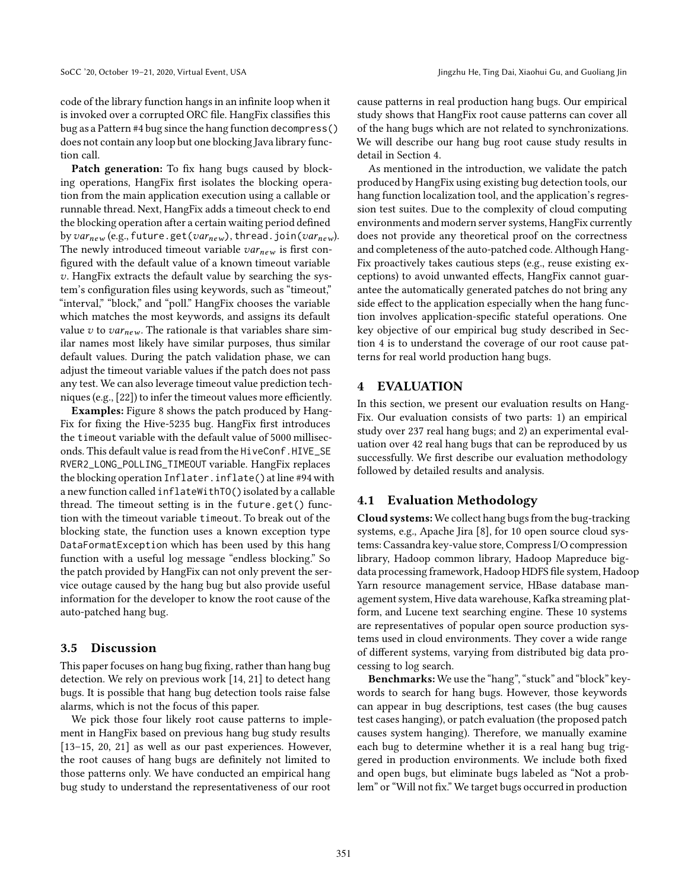code of the library function hangs in an infinite loop when it is invoked over a corrupted ORC file. HangFix classifies this bug as a Pattern #4 bug since the hang function decompress() does not contain any loop but one blocking Java library function call.

Patch generation: To fix hang bugs caused by blocking operations, HangFix first isolates the blocking operation from the main application execution using a callable or runnable thread. Next, HangFix adds a timeout check to end the blocking operation after a certain waiting period defined by  $var_{new}$  (e.g., future.get( $var_{new}$ ), thread.join( $var_{new}$ ). The newly introduced timeout variable  $var_{new}$  is first configured with the default value of a known timeout variable v. HangFix extracts the default value by searching the system's configuration files using keywords, such as "timeout," "interval," "block," and "poll." HangFix chooses the variable which matches the most keywords, and assigns its default value v to  $var_{new}$ . The rationale is that variables share similar names most likely have similar purposes, thus similar default values. During the patch validation phase, we can adjust the timeout variable values if the patch does not pass any test. We can also leverage timeout value prediction techniques (e.g., [\[22\]](#page-13-16)) to infer the timeout values more efficiently.

Examples: Figure [8](#page-6-1) shows the patch produced by Hang-Fix for fixing the Hive-5235 bug. HangFix first introduces the timeout variable with the default value of 5000 milliseconds. This default value is read from the HiveConf.HIVE\_SE RVER2\_LONG\_POLLING\_TIMEOUT variable. HangFix replaces the blocking operation Inflater.inflate() at line #94 with a new function called inflateWithTO() isolated by a callable thread. The timeout setting is in the future.get() function with the timeout variable timeout. To break out of the blocking state, the function uses a known exception type DataFormatException which has been used by this hang function with a useful log message "endless blocking." So the patch provided by HangFix can not only prevent the service outage caused by the hang bug but also provide useful information for the developer to know the root cause of the auto-patched hang bug.

#### 3.5 Discussion

This paper focuses on hang bug fixing, rather than hang bug detection. We rely on previous work [\[14,](#page-13-9) [21](#page-13-7)] to detect hang bugs. It is possible that hang bug detection tools raise false alarms, which is not the focus of this paper.

We pick those four likely root cause patterns to implement in HangFix based on previous hang bug study results [\[13](#page-13-4)[–15](#page-13-5), [20,](#page-13-6) [21\]](#page-13-7) as well as our past experiences. However, the root causes of hang bugs are definitely not limited to those patterns only. We have conducted an empirical hang bug study to understand the representativeness of our root

cause patterns in real production hang bugs. Our empirical study shows that HangFix root cause patterns can cover all of the hang bugs which are not related to synchronizations. We will describe our hang bug root cause study results in detail in Section [4.](#page-7-0)

As mentioned in the introduction, we validate the patch produced by HangFix using existing bug detection tools, our hang function localization tool, and the application's regression test suites. Due to the complexity of cloud computing environments and modern server systems, HangFix currently does not provide any theoretical proof on the correctness and completeness of the auto-patched code. Although Hang-Fix proactively takes cautious steps (e.g., reuse existing exceptions) to avoid unwanted effects, HangFix cannot guarantee the automatically generated patches do not bring any side effect to the application especially when the hang function involves application-specific stateful operations. One key objective of our empirical bug study described in Section [4](#page-7-0) is to understand the coverage of our root cause patterns for real world production hang bugs.

#### <span id="page-7-0"></span>4 EVALUATION

In this section, we present our evaluation results on Hang-Fix. Our evaluation consists of two parts: 1) an empirical study over 237 real hang bugs; and 2) an experimental evaluation over 42 real hang bugs that can be reproduced by us successfully. We first describe our evaluation methodology followed by detailed results and analysis.

#### 4.1 Evaluation Methodology

Cloud systems: We collect hang bugs from the bug-tracking systems, e.g., Apache Jira [\[8](#page-13-17)], for 10 open source cloud systems: Cassandra key-value store, Compress I/O compression library, Hadoop common library, Hadoop Mapreduce bigdata processing framework, Hadoop HDFS file system, Hadoop Yarn resource management service, HBase database management system, Hive data warehouse, Kafka streaming platform, and Lucene text searching engine. These 10 systems are representatives of popular open source production systems used in cloud environments. They cover a wide range of different systems, varying from distributed big data processing to log search.

Benchmarks: We use the "hang", "stuck" and "block" keywords to search for hang bugs. However, those keywords can appear in bug descriptions, test cases (the bug causes test cases hanging), or patch evaluation (the proposed patch causes system hanging). Therefore, we manually examine each bug to determine whether it is a real hang bug triggered in production environments. We include both fixed and open bugs, but eliminate bugs labeled as "Not a problem" or "Will not fix." We target bugs occurred in production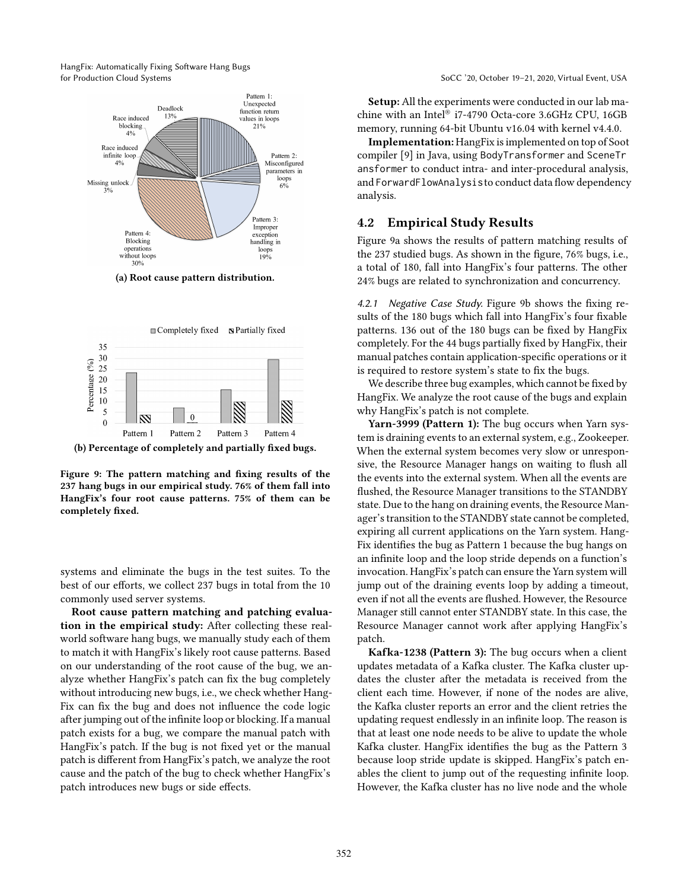<span id="page-8-0"></span>HangFix: Automatically Fixing Software Hang Bugs for Production Cloud Systems SoCC '20, October 19–21, 2020, Virtual Event, USA



(a) Root cause pattern distribution.



(b) Percentage of completely and partially fixed bugs.

Figure 9: The pattern matching and fixing results of the 237 hang bugs in our empirical study. 76% of them fall into HangFix's four root cause patterns. 75% of them can be completely fixed.

systems and eliminate the bugs in the test suites. To the best of our efforts, we collect 237 bugs in total from the 10 commonly used server systems.

Root cause pattern matching and patching evaluation in the empirical study: After collecting these realworld software hang bugs, we manually study each of them to match it with HangFix's likely root cause patterns. Based on our understanding of the root cause of the bug, we analyze whether HangFix's patch can fix the bug completely without introducing new bugs, i.e., we check whether Hang-Fix can fix the bug and does not influence the code logic after jumping out of the infinite loop or blocking. If a manual patch exists for a bug, we compare the manual patch with HangFix's patch. If the bug is not fixed yet or the manual patch is different from HangFix's patch, we analyze the root cause and the patch of the bug to check whether HangFix's patch introduces new bugs or side effects.

Setup: All the experiments were conducted in our lab machine with an Intel® i7-4790 Octa-core 3.6GHz CPU, 16GB memory, running 64-bit Ubuntu v16.04 with kernel v4.4.0.

Implementation: HangFix is implemented on top of Soot compiler [\[9\]](#page-13-15) in Java, using BodyTransformer and SceneTr ansformer to conduct intra- and inter-procedural analysis, and ForwardFlowAnalysisto conduct data flow dependency analysis.

## 4.2 Empirical Study Results

Figure [9a](#page-8-0) shows the results of pattern matching results of the 237 studied bugs. As shown in the figure, 76% bugs, i.e., a total of 180, fall into HangFix's four patterns. The other 24% bugs are related to synchronization and concurrency.

4.2.1 Negative Case Study. Figure [9b](#page-8-0) shows the fixing results of the 180 bugs which fall into HangFix's four fixable patterns. 136 out of the 180 bugs can be fixed by HangFix completely. For the 44 bugs partially fixed by HangFix, their manual patches contain application-specific operations or it is required to restore system's state to fix the bugs.

We describe three bug examples, which cannot be fixed by HangFix. We analyze the root cause of the bugs and explain why HangFix's patch is not complete.

Yarn-3999 (Pattern 1): The bug occurs when Yarn system is draining events to an external system, e.g., Zookeeper. When the external system becomes very slow or unresponsive, the Resource Manager hangs on waiting to flush all the events into the external system. When all the events are flushed, the Resource Manager transitions to the STANDBY state. Due to the hang on draining events, the Resource Manager's transition to the STANDBY state cannot be completed, expiring all current applications on the Yarn system. Hang-Fix identifies the bug as Pattern 1 because the bug hangs on an infinite loop and the loop stride depends on a function's invocation. HangFix's patch can ensure the Yarn system will jump out of the draining events loop by adding a timeout, even if not all the events are flushed. However, the Resource Manager still cannot enter STANDBY state. In this case, the Resource Manager cannot work after applying HangFix's patch.

Kafka-1238 (Pattern 3): The bug occurs when a client updates metadata of a Kafka cluster. The Kafka cluster updates the cluster after the metadata is received from the client each time. However, if none of the nodes are alive, the Kafka cluster reports an error and the client retries the updating request endlessly in an infinite loop. The reason is that at least one node needs to be alive to update the whole Kafka cluster. HangFix identifies the bug as the Pattern 3 because loop stride update is skipped. HangFix's patch enables the client to jump out of the requesting infinite loop. However, the Kafka cluster has no live node and the whole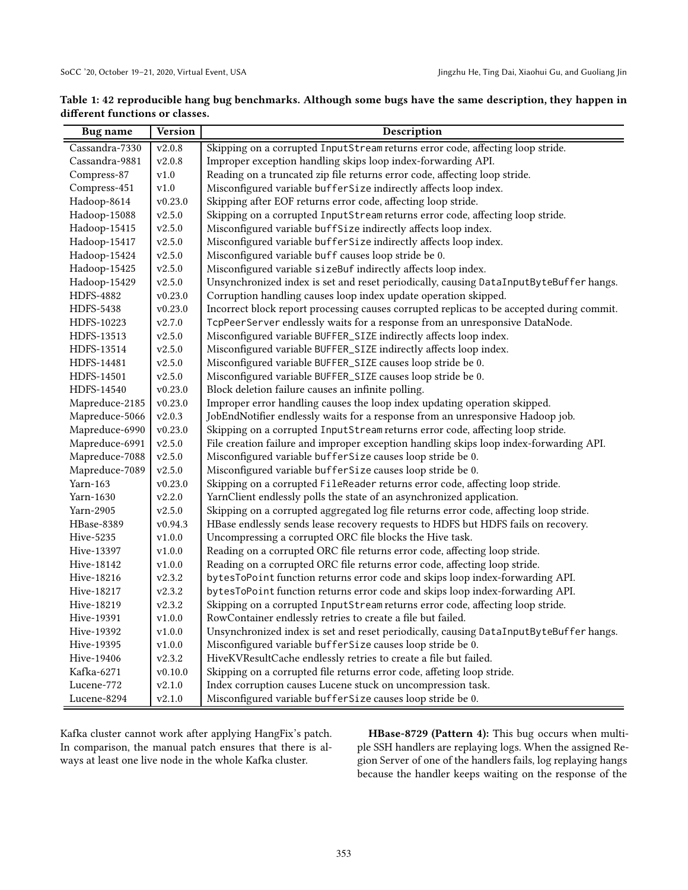| <b>Bug</b> name | Version        | Description                                                                               |  |  |
|-----------------|----------------|-------------------------------------------------------------------------------------------|--|--|
| Cassandra-7330  | v2.0.8         | Skipping on a corrupted InputStream returns error code, affecting loop stride.            |  |  |
| Cassandra-9881  | ${\tt v2.0.8}$ | Improper exception handling skips loop index-forwarding API.                              |  |  |
| Compress-87     | v1.0           | Reading on a truncated zip file returns error code, affecting loop stride.                |  |  |
| Compress-451    | ${\tt v1.0}$   | Misconfigured variable bufferSize indirectly affects loop index.                          |  |  |
| Hadoop-8614     | v0.23.0        | Skipping after EOF returns error code, affecting loop stride.                             |  |  |
| Hadoop-15088    | v2.5.0         | Skipping on a corrupted InputStream returns error code, affecting loop stride.            |  |  |
| Hadoop-15415    | v2.5.0         | Misconfigured variable buffSize indirectly affects loop index.                            |  |  |
| Hadoop-15417    | v2.5.0         | Misconfigured variable bufferSize indirectly affects loop index.                          |  |  |
| Hadoop-15424    | v2.5.0         | Misconfigured variable buff causes loop stride be 0.                                      |  |  |
| Hadoop-15425    | v2.5.0         | Misconfigured variable sizeBuf indirectly affects loop index.                             |  |  |
| Hadoop-15429    | v2.5.0         | Unsynchronized index is set and reset periodically, causing DataInputByteBuffer hangs.    |  |  |
| HDFS-4882       | v0.23.0        | Corruption handling causes loop index update operation skipped.                           |  |  |
| HDFS-5438       | v0.23.0        | Incorrect block report processing causes corrupted replicas to be accepted during commit. |  |  |
| HDFS-10223      | v2.7.0         | TcpPeerServer endlessly waits for a response from an unresponsive DataNode.               |  |  |
| HDFS-13513      | v2.5.0         | Misconfigured variable BUFFER_SIZE indirectly affects loop index.                         |  |  |
| HDFS-13514      | v2.5.0         | Misconfigured variable BUFFER_SIZE indirectly affects loop index.                         |  |  |
| HDFS-14481      | v2.5.0         | Misconfigured variable BUFFER_SIZE causes loop stride be 0.                               |  |  |
| HDFS-14501      | v2.5.0         | Misconfigured variable BUFFER_SIZE causes loop stride be 0.                               |  |  |
| HDFS-14540      | v0.23.0        | Block deletion failure causes an infinite polling.                                        |  |  |
| Mapreduce-2185  | v0.23.0        | Improper error handling causes the loop index updating operation skipped.                 |  |  |
| Mapreduce-5066  | v2.0.3         | JobEndNotifier endlessly waits for a response from an unresponsive Hadoop job.            |  |  |
| Mapreduce-6990  | v0.23.0        | Skipping on a corrupted InputStream returns error code, affecting loop stride.            |  |  |
| Mapreduce-6991  | v2.5.0         | File creation failure and improper exception handling skips loop index-forwarding API.    |  |  |
| Mapreduce-7088  | v2.5.0         | Misconfigured variable bufferSize causes loop stride be 0.                                |  |  |
| Mapreduce-7089  | v2.5.0         | Misconfigured variable bufferSize causes loop stride be 0.                                |  |  |
| Yarn-163        | v0.23.0        | Skipping on a corrupted FileReader returns error code, affecting loop stride.             |  |  |
| Yarn-1630       | v2.2.0         | YarnClient endlessly polls the state of an asynchronized application.                     |  |  |
| Yarn-2905       | v2.5.0         | Skipping on a corrupted aggregated log file returns error code, affecting loop stride.    |  |  |
| HBase-8389      | v0.94.3        | HBase endlessly sends lease recovery requests to HDFS but HDFS fails on recovery.         |  |  |
| Hive-5235       | v1.0.0         | Uncompressing a corrupted ORC file blocks the Hive task.                                  |  |  |
| Hive-13397      | v1.0.0         | Reading on a corrupted ORC file returns error code, affecting loop stride.                |  |  |
| Hive-18142      | v1.0.0         | Reading on a corrupted ORC file returns error code, affecting loop stride.                |  |  |
| Hive-18216      | v2.3.2         | bytesToPoint function returns error code and skips loop index-forwarding API.             |  |  |
| Hive-18217      | v2.3.2         | bytesToPoint function returns error code and skips loop index-forwarding API.             |  |  |
| Hive-18219      | v2.3.2         | Skipping on a corrupted InputStream returns error code, affecting loop stride.            |  |  |
| Hive-19391      | v1.0.0         | RowContainer endlessly retries to create a file but failed.                               |  |  |
| Hive-19392      | v1.0.0         | Unsynchronized index is set and reset periodically, causing DataInputByteBuffer hangs.    |  |  |
| Hive-19395      | v1.0.0         | Misconfigured variable bufferSize causes loop stride be 0.                                |  |  |
| Hive-19406      | v2.3.2         | HiveKVResultCache endlessly retries to create a file but failed.                          |  |  |
| Kafka-6271      | v0.10.0        | Skipping on a corrupted file returns error code, affeting loop stride.                    |  |  |
| Lucene-772      | v2.1.0         | Index corruption causes Lucene stuck on uncompression task.                               |  |  |
| Lucene-8294     | v2.1.0         | Misconfigured variable bufferSize causes loop stride be 0.                                |  |  |

<span id="page-9-0"></span>

| Table 1: 42 reproducible hang bug benchmarks. Although some bugs have the same description, they happen in |  |  |
|------------------------------------------------------------------------------------------------------------|--|--|
| different functions or classes.                                                                            |  |  |
|                                                                                                            |  |  |

Kafka cluster cannot work after applying HangFix's patch. In comparison, the manual patch ensures that there is always at least one live node in the whole Kafka cluster.

HBase-8729 (Pattern 4): This bug occurs when multiple SSH handlers are replaying logs. When the assigned Region Server of one of the handlers fails, log replaying hangs because the handler keeps waiting on the response of the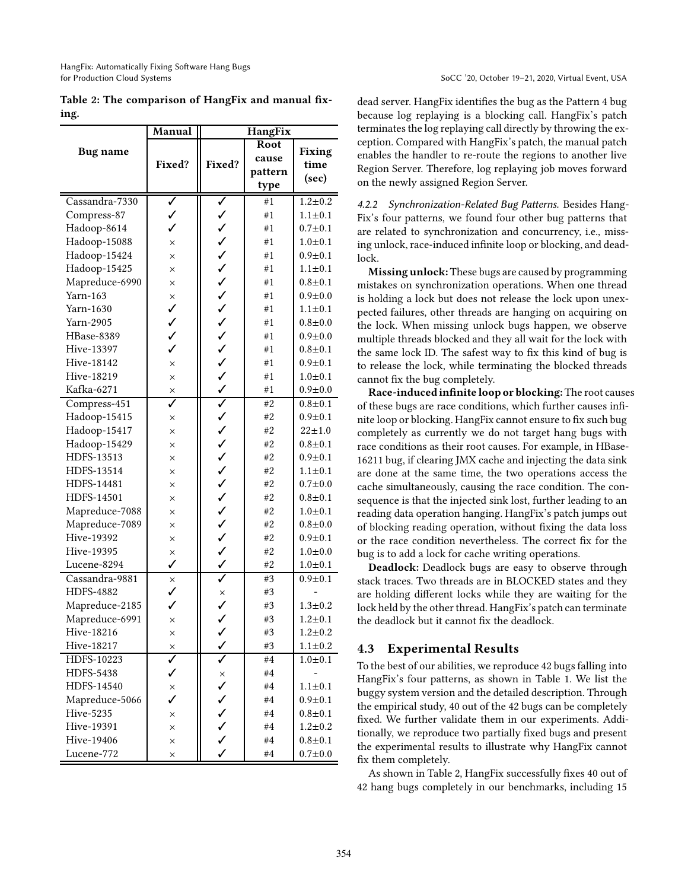<span id="page-10-0"></span>

|      |  | Table 2: The comparison of HangFix and manual fix- |  |  |
|------|--|----------------------------------------------------|--|--|
| ing. |  |                                                    |  |  |

|                  | Manual               | HangFix                                           |         |                       |
|------------------|----------------------|---------------------------------------------------|---------|-----------------------|
|                  |                      |                                                   | Root    |                       |
| <b>Bug</b> name  | Fixed?               |                                                   | cause   | <b>Fixing</b><br>time |
|                  |                      | Fixed?                                            | pattern | (sec)                 |
|                  |                      |                                                   | type    |                       |
| Cassandra-7330   | ✓                    | ✓                                                 | #1      | $1.2 + 0.2$           |
| Compress-87      | ✓                    |                                                   | #1      | $1.1 \pm 0.1$         |
| Hadoop-8614      | ✓                    |                                                   | #1      | $0.7 + 0.1$           |
| Hadoop-15088     | $\times$             |                                                   | #1      | $1.0 + 0.1$           |
| Hadoop-15424     | $\times$             |                                                   | #1      | $0.9 + 0.1$           |
| Hadoop-15425     | $\times$             |                                                   | #1      | $1.1 \pm 0.1$         |
| Mapreduce-6990   | $\times$             | ノノノノノノノノノノノ                                       | #1      | $0.8 + 0.1$           |
| Yarn-163         | ×                    |                                                   | #1      | $0.9 + 0.0$           |
| Yarn-1630        | ✓                    |                                                   | #1      | $1.1 \pm 0.1$         |
| Yarn-2905        | $\checkmark$         |                                                   | #1      | $0.8 + 0.0$           |
| HBase-8389       |                      |                                                   | #1      | $0.9 + 0.0$           |
| Hive-13397       | ✓                    |                                                   | #1      | $0.8 + 0.1$           |
| Hive-18142       | $\times$             |                                                   | #1      | $0.9 + 0.1$           |
| Hive-18219       | $\times$             |                                                   | #1      | $1.0 + 0.1$           |
| Kafka-6271       | ×                    |                                                   | #1      | $0.9 + 0.0$           |
| Compress-451     |                      |                                                   | #2      | $0.8 + 0.1$           |
| Hadoop-15415     | $\times$             |                                                   | #2      | $0.9 + 0.1$           |
| Hadoop-15417     | $\times$             |                                                   | #2      | $22 + 1.0$            |
| Hadoop-15429     | $\times$             |                                                   | #2      | $0.8 + 0.1$           |
| HDFS-13513       | $\times$             |                                                   | #2      | $0.9 + 0.1$           |
| HDFS-13514       | $\times$             |                                                   | #2      | $1.1 \pm 0.1$         |
| HDFS-14481       | $\times$             |                                                   | #2      | $0.7 + 0.0$           |
| HDFS-14501       | $\times$             |                                                   | #2      | $0.8 + 0.1$           |
| Mapreduce-7088   | $\times$             |                                                   | #2      | $1.0 + 0.1$           |
| Mapreduce-7089   | $\times$             |                                                   | #2      | $0.8 + 0.0$           |
| Hive-19392       | $\times$             |                                                   | #2      | $0.9 + 0.1$           |
| Hive-19395       | $\times$             |                                                   | #2      | $1.0 + 0.0$           |
| Lucene-8294      | ✓                    | び マン ノン ノン ノン ノン ノン ノン                            | #2      | $1.0 + 0.1$           |
| Cassandra-9881   | $\times$             |                                                   | #3      | $0.9 + 0.1$           |
| <b>HDFS-4882</b> | ✓                    |                                                   | #3      |                       |
| Mapreduce-2185   | ✓                    | $\begin{array}{c} \times \\ \searrow \end{array}$ | #3      | $1.3 + 0.2$           |
| Mapreduce-6991   | $\times$             |                                                   | #3      | $1.2 + 0.1$           |
| Hive-18216       | $\times$             | ✓                                                 | #3      | $1.2 + 0.2$           |
| Hive-18217       | $\frac{x}{\sqrt{2}}$ |                                                   | #3      | $1.1 \pm 0.2$         |
| HDFS-10223       |                      |                                                   | #4      | $1.0 + 0.1$           |
| <b>HDFS-5438</b> | ✓                    | $\frac{x}{1}$                                     | #4      |                       |
| HDFS-14540       | $\times$             |                                                   | #4      | $1.1 + 0.1$           |
| Mapreduce-5066   | ✓                    | ✓                                                 | #4      | $0.9 + 0.1$           |
| <b>Hive-5235</b> | $\times$             | ✓                                                 | #4      | $0.8 + 0.1$           |
| Hive-19391       | $\times$             | $\checkmark$                                      | #4      | $1.2 + 0.2$           |
| Hive-19406       | $\times$             | $\checkmark$                                      | #4      | $0.8 + 0.1$           |
| Lucene-772       | ×                    | ✓                                                 | #4      | $0.7 + 0.0$           |

dead server. HangFix identifies the bug as the Pattern 4 bug because log replaying is a blocking call. HangFix's patch terminates the log replaying call directly by throwing the exception. Compared with HangFix's patch, the manual patch enables the handler to re-route the regions to another live Region Server. Therefore, log replaying job moves forward on the newly assigned Region Server.

4.2.2 Synchronization-Related Bug Patterns. Besides Hang-Fix's four patterns, we found four other bug patterns that are related to synchronization and concurrency, i.e., missing unlock, race-induced infinite loop or blocking, and deadlock.

Missing unlock: These bugs are caused by programming mistakes on synchronization operations. When one thread is holding a lock but does not release the lock upon unexpected failures, other threads are hanging on acquiring on the lock. When missing unlock bugs happen, we observe multiple threads blocked and they all wait for the lock with the same lock ID. The safest way to fix this kind of bug is to release the lock, while terminating the blocked threads cannot fix the bug completely.

Race-induced infinite loop or blocking: The root causes of these bugs are race conditions, which further causes infinite loop or blocking. HangFix cannot ensure to fix such bug completely as currently we do not target hang bugs with race conditions as their root causes. For example, in HBase-16211 bug, if clearing JMX cache and injecting the data sink are done at the same time, the two operations access the cache simultaneously, causing the race condition. The consequence is that the injected sink lost, further leading to an reading data operation hanging. HangFix's patch jumps out of blocking reading operation, without fixing the data loss or the race condition nevertheless. The correct fix for the bug is to add a lock for cache writing operations.

Deadlock: Deadlock bugs are easy to observe through stack traces. Two threads are in BLOCKED states and they are holding different locks while they are waiting for the lock held by the other thread. HangFix's patch can terminate the deadlock but it cannot fix the deadlock.

# 4.3 Experimental Results

To the best of our abilities, we reproduce 42 bugs falling into HangFix's four patterns, as shown in Table [1.](#page-9-0) We list the buggy system version and the detailed description. Through the empirical study, 40 out of the 42 bugs can be completely fixed. We further validate them in our experiments. Additionally, we reproduce two partially fixed bugs and present the experimental results to illustrate why HangFix cannot fix them completely.

As shown in Table [2,](#page-10-0) HangFix successfully fixes 40 out of 42 hang bugs completely in our benchmarks, including 15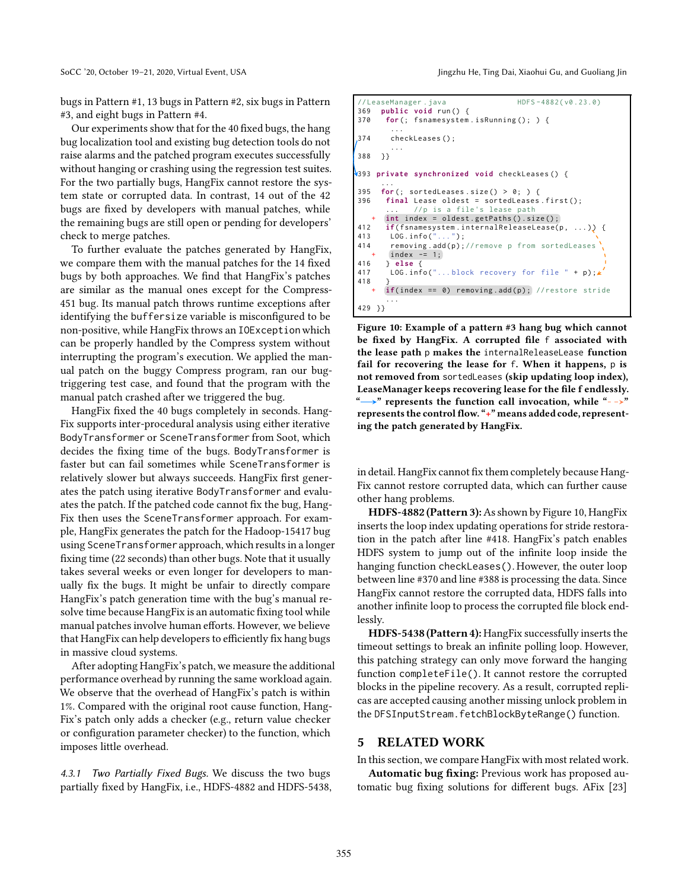bugs in Pattern #1, 13 bugs in Pattern #2, six bugs in Pattern #3, and eight bugs in Pattern #4.

Our experiments show that for the 40 fixed bugs, the hang bug localization tool and existing bug detection tools do not raise alarms and the patched program executes successfully without hanging or crashing using the regression test suites. For the two partially bugs, HangFix cannot restore the system state or corrupted data. In contrast, 14 out of the 42 bugs are fixed by developers with manual patches, while the remaining bugs are still open or pending for developers' check to merge patches.

To further evaluate the patches generated by HangFix, we compare them with the manual patches for the 14 fixed bugs by both approaches. We find that HangFix's patches are similar as the manual ones except for the Compress-451 bug. Its manual patch throws runtime exceptions after identifying the buffersize variable is misconfigured to be non-positive, while HangFix throws an IOExceptionwhich can be properly handled by the Compress system without interrupting the program's execution. We applied the manual patch on the buggy Compress program, ran our bugtriggering test case, and found that the program with the manual patch crashed after we triggered the bug.

HangFix fixed the 40 bugs completely in seconds. Hang-Fix supports inter-procedural analysis using either iterative BodyTransformer or SceneTransformer from Soot, which decides the fixing time of the bugs. BodyTransformer is faster but can fail sometimes while SceneTransformer is relatively slower but always succeeds. HangFix first generates the patch using iterative BodyTransformer and evaluates the patch. If the patched code cannot fix the bug, Hang-Fix then uses the SceneTransformer approach. For example, HangFix generates the patch for the Hadoop-15417 bug using SceneTransformerapproach, which results in a longer fixing time (22 seconds) than other bugs. Note that it usually takes several weeks or even longer for developers to manually fix the bugs. It might be unfair to directly compare HangFix's patch generation time with the bug's manual resolve time because HangFix is an automatic fixing tool while manual patches involve human efforts. However, we believe that HangFix can help developers to efficiently fix hang bugs in massive cloud systems.

After adopting HangFix's patch, we measure the additional performance overhead by running the same workload again. We observe that the overhead of HangFix's patch is within 1%. Compared with the original root cause function, Hang-Fix's patch only adds a checker (e.g., return value checker or configuration parameter checker) to the function, which imposes little overhead.

4.3.1 Two Partially Fixed Bugs. We discuss the two bugs partially fixed by HangFix, i.e., HDFS-4882 and HDFS-5438,

SoCC '20, October 19-21, 2020, Virtual Event, USA Jingzhu He, Ting Dai, Xiaohui Gu, and Guoliang Jin

```
// LeaseManager . java HDFS-4882(v0.23.0)
369 public void run () {
370 for (; fsnamesystem.isRunning(); ) {
        ...
374 checkLeases () ;
        ...
388 }}
393 private synchronized void checkLeases () {
     ...
395 for (; sortedLeases . size () > 0; ) {
396 final Lease oldest = sortedLeases . first () ;
             //p is a file's lease path
      int index = oldest.getPaths().size();
412 if(fsnamesystem.internalReleaseLease(p, ...)) {<br>413 LOG.info("...");
413 LOG.info("<br>414 removing
       removing.add(p);//remove p from sortedLeases
       index -= 1;
416 } else {
       LOG. info ("... block recovery for file " + p);
418 }
      if(index == 0) removing.add(p); // restore stride
       ...
429 }}
```
Figure 10: Example of a pattern #3 hang bug which cannot be fixed by HangFix. A corrupted file f associated with the lease path p makes the internalReleaseLease function fail for recovering the lease for f. When it happens, p is not removed from sortedLeases (skip updating loop index), LeaseManager keeps recovering lease for the file f endlessly.  $\rightarrow$ " represents the function call invocation, while " $\rightarrow$ " represents the control flow. "+" means added code, representing the patch generated by HangFix.

in detail. HangFix cannot fix them completely because Hang-Fix cannot restore corrupted data, which can further cause other hang problems.

HDFS-4882 (Pattern 3): As shown by Figure [10,](#page-11-1) HangFix inserts the loop index updating operations for stride restoration in the patch after line #418. HangFix's patch enables HDFS system to jump out of the infinite loop inside the hanging function checkLeases(). However, the outer loop between line #370 and line #388 is processing the data. Since HangFix cannot restore the corrupted data, HDFS falls into another infinite loop to process the corrupted file block endlessly.

HDFS-5438 (Pattern 4): HangFix successfully inserts the timeout settings to break an infinite polling loop. However, this patching strategy can only move forward the hanging function completeFile(). It cannot restore the corrupted blocks in the pipeline recovery. As a result, corrupted replicas are accepted causing another missing unlock problem in the DFSInputStream.fetchBlockByteRange() function.

## <span id="page-11-0"></span>5 RELATED WORK

In this section, we compare HangFix with most related work.

Automatic bug fixing: Previous work has proposed automatic bug fixing solutions for different bugs. AFix [\[23\]](#page-13-18)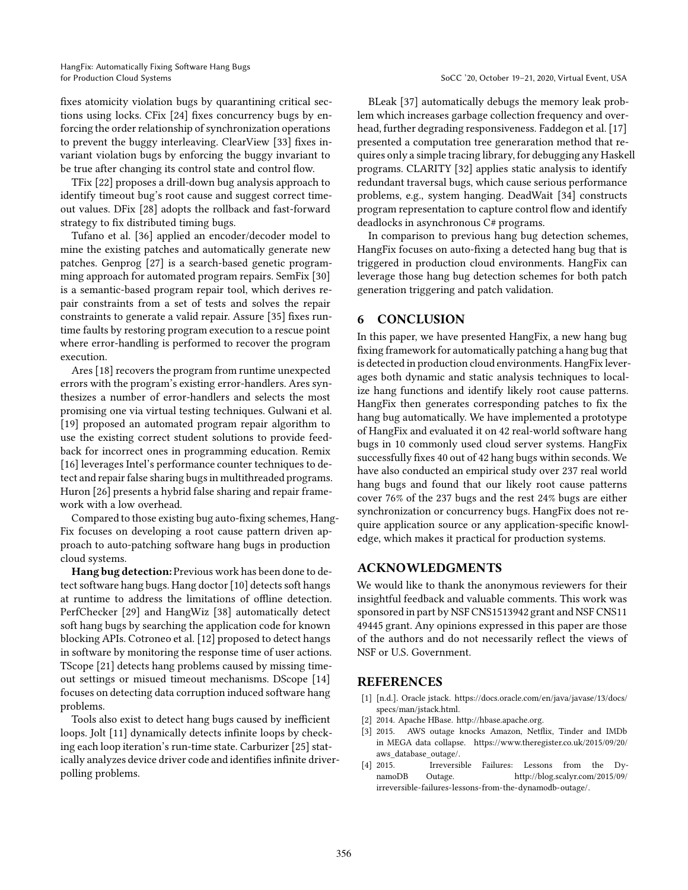fixes atomicity violation bugs by quarantining critical sections using locks. CFix [\[24](#page-13-19)] fixes concurrency bugs by enforcing the order relationship of synchronization operations to prevent the buggy interleaving. ClearView [\[33\]](#page-13-20) fixes invariant violation bugs by enforcing the buggy invariant to be true after changing its control state and control flow.

TFix [\[22](#page-13-16)] proposes a drill-down bug analysis approach to identify timeout bug's root cause and suggest correct timeout values. DFix [\[28\]](#page-13-21) adopts the rollback and fast-forward strategy to fix distributed timing bugs.

Tufano et al. [\[36\]](#page-13-22) applied an encoder/decoder model to mine the existing patches and automatically generate new patches. Genprog [\[27\]](#page-13-12) is a search-based genetic programming approach for automated program repairs. SemFix [\[30\]](#page-13-13) is a semantic-based program repair tool, which derives repair constraints from a set of tests and solves the repair constraints to generate a valid repair. Assure [\[35\]](#page-13-23) fixes runtime faults by restoring program execution to a rescue point where error-handling is performed to recover the program execution.

Ares [\[18\]](#page-13-24) recovers the program from runtime unexpected errors with the program's existing error-handlers. Ares synthesizes a number of error-handlers and selects the most promising one via virtual testing techniques. Gulwani et al. [\[19\]](#page-13-25) proposed an automated program repair algorithm to use the existing correct student solutions to provide feedback for incorrect ones in programming education. Remix [\[16\]](#page-13-26) leverages Intel's performance counter techniques to detect and repair false sharing bugs in multithreaded programs. Huron [\[26](#page-13-27)] presents a hybrid false sharing and repair framework with a low overhead.

Compared to those existing bug auto-fixing schemes, Hang-Fix focuses on developing a root cause pattern driven approach to auto-patching software hang bugs in production cloud systems.

Hang bug detection: Previous work has been done to detect software hang bugs. Hang doctor [\[10\]](#page-13-28) detects soft hangs at runtime to address the limitations of offline detection. PerfChecker [\[29](#page-13-10)] and HangWiz [\[38\]](#page-13-11) automatically detect soft hang bugs by searching the application code for known blocking APIs. Cotroneo et al. [\[12](#page-13-8)] proposed to detect hangs in software by monitoring the response time of user actions. TScope [\[21\]](#page-13-7) detects hang problems caused by missing timeout settings or misued timeout mechanisms. DScope [\[14\]](#page-13-9) focuses on detecting data corruption induced software hang problems.

Tools also exist to detect hang bugs caused by inefficient loops. Jolt [\[11\]](#page-13-29) dynamically detects infinite loops by checking each loop iteration's run-time state. Carburizer [\[25](#page-13-30)] statically analyzes device driver code and identifies infinite driverpolling problems.

BLeak [\[37\]](#page-13-31) automatically debugs the memory leak problem which increases garbage collection frequency and overhead, further degrading responsiveness. Faddegon et al. [\[17\]](#page-13-32) presented a computation tree generaration method that requires only a simple tracing library, for debugging any Haskell programs. CLARITY [\[32](#page-13-33)] applies static analysis to identify redundant traversal bugs, which cause serious performance problems, e.g., system hanging. DeadWait [\[34](#page-13-34)] constructs program representation to capture control flow and identify deadlocks in asynchronous C# programs.

In comparison to previous hang bug detection schemes, HangFix focuses on auto-fixing a detected hang bug that is triggered in production cloud environments. HangFix can leverage those hang bug detection schemes for both patch generation triggering and patch validation.

#### <span id="page-12-3"></span>6 CONCLUSION

In this paper, we have presented HangFix, a new hang bug fixing framework for automatically patching a hang bug that is detected in production cloud environments. HangFix leverages both dynamic and static analysis techniques to localize hang functions and identify likely root cause patterns. HangFix then generates corresponding patches to fix the hang bug automatically. We have implemented a prototype of HangFix and evaluated it on 42 real-world software hang bugs in 10 commonly used cloud server systems. HangFix successfully fixes 40 out of 42 hang bugs within seconds. We have also conducted an empirical study over 237 real world hang bugs and found that our likely root cause patterns cover 76% of the 237 bugs and the rest 24% bugs are either synchronization or concurrency bugs. HangFix does not require application source or any application-specific knowledge, which makes it practical for production systems.

# ACKNOWLEDGMENTS

We would like to thank the anonymous reviewers for their insightful feedback and valuable comments. This work was sponsored in part by NSF CNS1513942 grant and NSF CNS11 49445 grant. Any opinions expressed in this paper are those of the authors and do not necessarily reflect the views of NSF or U.S. Government.

## REFERENCES

- <span id="page-12-4"></span>[1] [n.d.]. Oracle jstack. [https://docs.oracle.com/en/java/javase/13/docs/](https://docs.oracle.com/en/java/javase/13/docs/specs/man/jstack.html) [specs/man/jstack.html.](https://docs.oracle.com/en/java/javase/13/docs/specs/man/jstack.html)
- <span id="page-12-0"></span>[2] 2014. Apache HBase. [http://hbase.apache.org.](http://hbase.apache.org)
- <span id="page-12-1"></span>[3] 2015. AWS outage knocks Amazon, Netflix, Tinder and IMDb in MEGA data collapse. [https://www.theregister.co.uk/2015/09/20/](https://www.theregister.co.uk/2015/09/20/aws_database_outage/) [aws\\_database\\_outage/.](https://www.theregister.co.uk/2015/09/20/aws_database_outage/)
- <span id="page-12-2"></span>[4] 2015. Irreversible Failures: Lessons from the DynamoDB Outage. [http://blog.scalyr.com/2015/09/](http://blog.scalyr.com/2015/09/irreversible-failures-lessons-from-the-dynamodb-outage/) [irreversible-failures-lessons-from-the-dynamodb-outage/.](http://blog.scalyr.com/2015/09/irreversible-failures-lessons-from-the-dynamodb-outage/)